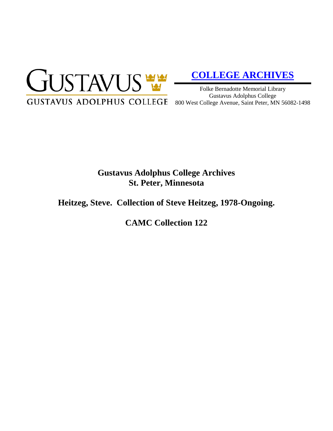

# **[COLLEGE ARCHIVES](http://gustavus.edu/academics/library/archives/)**

Folke Bernadotte Memorial Library Gustavus Adolphus College 800 West College Avenue, Saint Peter, MN 56082-1498

## **Gustavus Adolphus College Archives St. Peter, Minnesota**

### **Heitzeg, Steve. Collection of Steve Heitzeg, 1978-Ongoing.**

**CAMC Collection 122**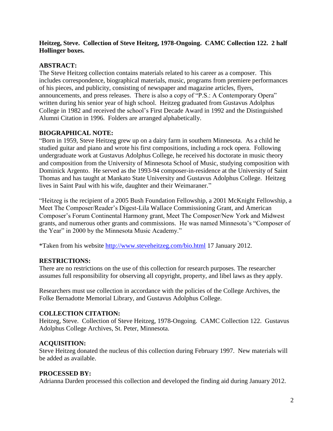#### **Heitzeg, Steve. Collection of Steve Heitzeg, 1978-Ongoing. CAMC Collection 122. 2 half Hollinger boxes.**

#### **ABSTRACT:**

The Steve Heitzeg collection contains materials related to his career as a composer. This includes correspondence, biographical materials, music, programs from premiere performances of his pieces, and publicity, consisting of newspaper and magazine articles, flyers, announcements, and press releases. There is also a copy of "P.S.: A Contemporary Opera" written during his senior year of high school. Heitzeg graduated from Gustavus Adolphus College in 1982 and received the school's First Decade Award in 1992 and the Distinguished Alumni Citation in 1996. Folders are arranged alphabetically.

#### **BIOGRAPHICAL NOTE:**

"Born in 1959, Steve Heitzeg grew up on a dairy farm in southern Minnesota. As a child he studied guitar and piano and wrote his first compositions, including a rock opera. Following undergraduate work at Gustavus Adolphus College, he received his doctorate in music theory and composition from the University of Minnesota School of Music, studying composition with Dominick Argento. He served as the 1993-94 composer-in-residence at the University of Saint Thomas and has taught at Mankato State University and Gustavus Adolphus College. Heitzeg lives in Saint Paul with his wife, daughter and their Weimaraner."

"Heitzeg is the recipient of a 2005 Bush Foundation Fellowship, a 2001 McKnight Fellowship, a Meet The Composer/Reader's Digest-Lila Wallace Commissioning Grant, and American Composer's Forum Continental Harmony grant, Meet The Composer/New York and Midwest grants, and numerous other grants and commissions. He was named Minnesota's "Composer of the Year" in 2000 by the Minnesota Music Academy."

\*Taken from his website<http://www.steveheitzeg.com/bio.html> 17 January 2012.

#### **RESTRICTIONS:**

There are no restrictions on the use of this collection for research purposes. The researcher assumes full responsibility for observing all copyright, property, and libel laws as they apply.

Researchers must use collection in accordance with the policies of the College Archives, the Folke Bernadotte Memorial Library, and Gustavus Adolphus College.

#### **COLLECTION CITATION:**

Heitzeg, Steve. Collection of Steve Heitzeg, 1978-Ongoing. CAMC Collection 122. Gustavus Adolphus College Archives, St. Peter, Minnesota.

#### **ACQUISITION:**

Steve Heitzeg donated the nucleus of this collection during February 1997. New materials will be added as available.

#### **PROCESSED BY:**

Adrianna Darden processed this collection and developed the finding aid during January 2012.